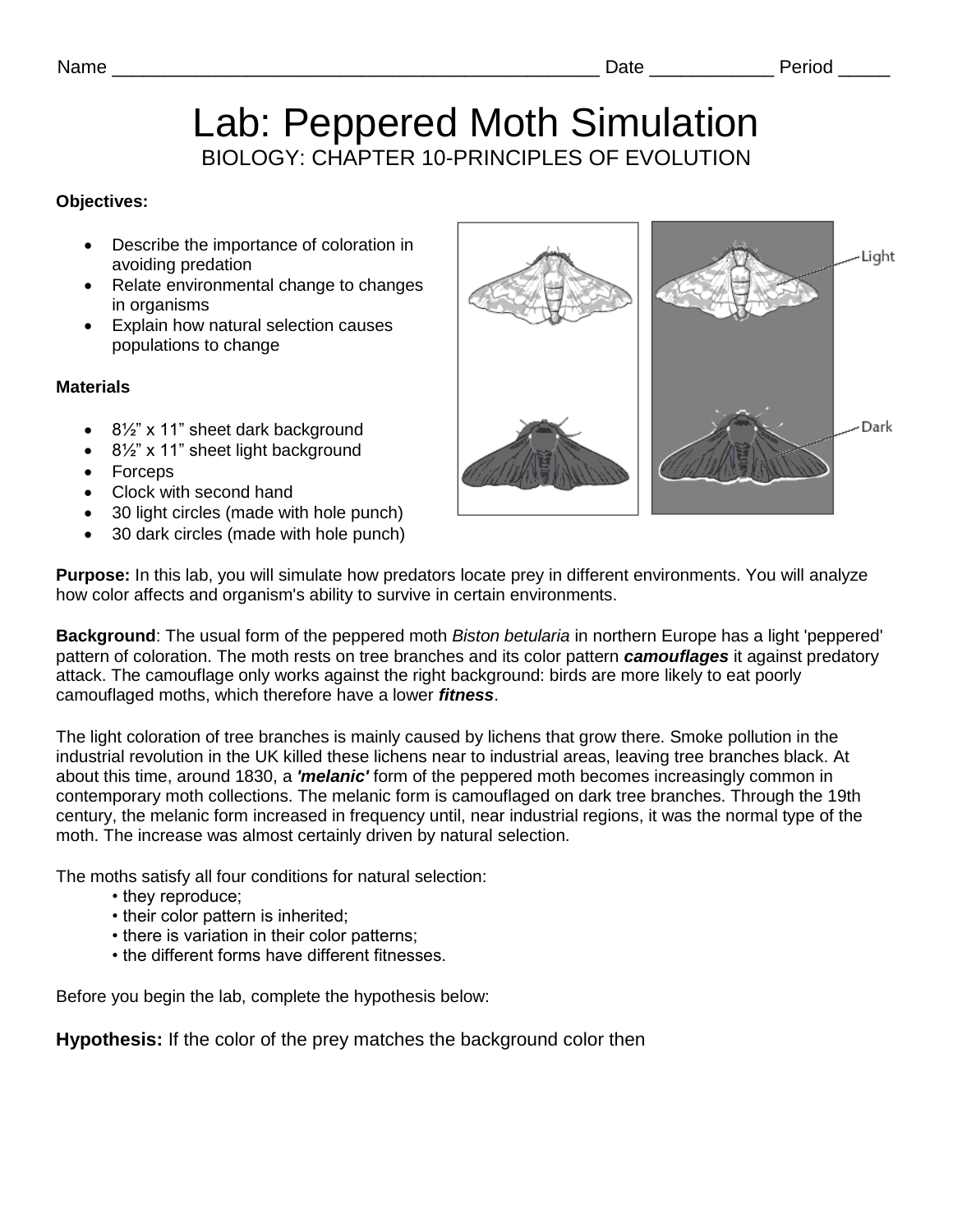# Lab: Peppered Moth Simulation BIOLOGY: CHAPTER 10-PRINCIPLES OF EVOLUTION

## **Objectives:**

- Describe the importance of coloration in avoiding predation
- Relate environmental change to changes in organisms
- Explain how natural selection causes populations to change

#### **Materials**

- 8½" x 11" sheet dark background
- 8½" x 11" sheet light background
- Forceps
- Clock with second hand
- 30 light circles (made with hole punch)
- 30 dark circles (made with hole punch)



**Purpose:** In this lab, you will simulate how predators locate prey in different environments. You will analyze how color affects and organism's ability to survive in certain environments.

**Background**: The usual form of the peppered moth *Biston betularia* in northern Europe has a light 'peppered' pattern of coloration. The moth rests on tree branches and its color pattern *camouflages* it against predatory attack. The camouflage only works against the right background: birds are more likely to eat poorly camouflaged moths, which therefore have a lower *fitness*.

The light coloration of tree branches is mainly caused by lichens that grow there. Smoke pollution in the industrial revolution in the UK killed these lichens near to industrial areas, leaving tree branches black. At about this time, around 1830, a *'melanic'* form of the peppered moth becomes increasingly common in contemporary moth collections. The melanic form is camouflaged on dark tree branches. Through the 19th century, the melanic form increased in frequency until, near industrial regions, it was the normal type of the moth. The increase was almost certainly driven by natural selection.

The moths satisfy all four conditions for natural selection:

- they reproduce;
- their color pattern is inherited;
- there is variation in their color patterns;
- the different forms have different fitnesses.

Before you begin the lab, complete the hypothesis below:

**Hypothesis:** If the color of the prey matches the background color then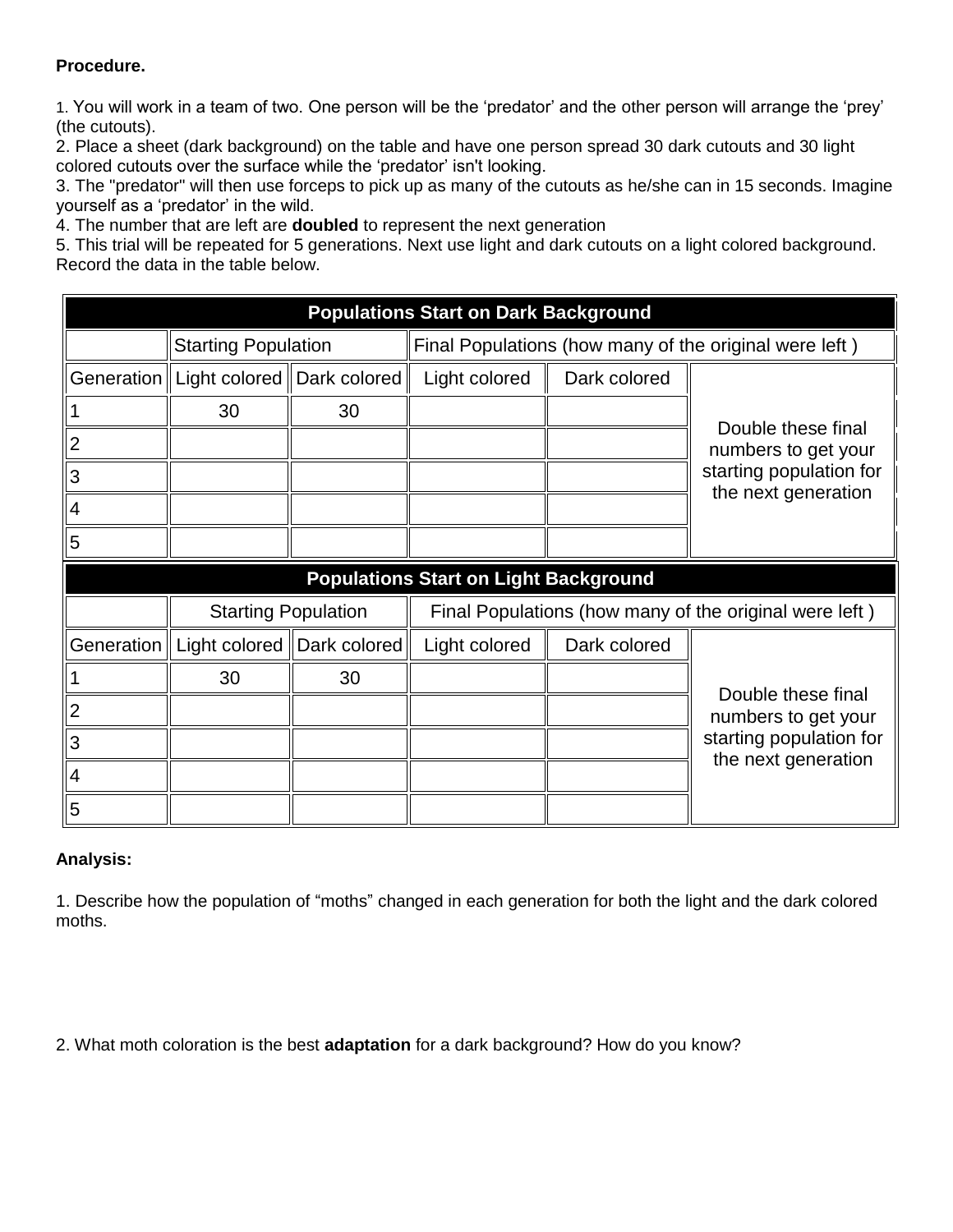# **Procedure.**

1. You will work in a team of two. One person will be the 'predator' and the other person will arrange the 'prey' (the cutouts).

2. Place a sheet (dark background) on the table and have one person spread 30 dark cutouts and 30 light colored cutouts over the surface while the 'predator' isn't looking.

3. The "predator" will then use forceps to pick up as many of the cutouts as he/she can in 15 seconds. Imagine yourself as a 'predator' in the wild.

4. The number that are left are **doubled** to represent the next generation

5. This trial will be repeated for 5 generations. Next use light and dark cutouts on a light colored background. Record the data in the table below.

| <b>Populations Start on Dark Background</b>  |                                           |    |                                                        |              |                                                                                             |
|----------------------------------------------|-------------------------------------------|----|--------------------------------------------------------|--------------|---------------------------------------------------------------------------------------------|
|                                              | <b>Starting Population</b>                |    | Final Populations (how many of the original were left) |              |                                                                                             |
|                                              | Generation   Light colored   Dark colored |    | Light colored                                          | Dark colored |                                                                                             |
|                                              | 30                                        | 30 |                                                        |              | Double these final<br>numbers to get your<br>starting population for<br>the next generation |
| 2                                            |                                           |    |                                                        |              |                                                                                             |
| 3                                            |                                           |    |                                                        |              |                                                                                             |
| 4                                            |                                           |    |                                                        |              |                                                                                             |
| 5                                            |                                           |    |                                                        |              |                                                                                             |
| <b>Populations Start on Light Background</b> |                                           |    |                                                        |              |                                                                                             |
|                                              | <b>Starting Population</b>                |    | Final Populations (how many of the original were left) |              |                                                                                             |
|                                              | Generation   Light colored   Dark colored |    | Light colored                                          | Dark colored | Double these final<br>numbers to get your<br>starting population for<br>the next generation |
|                                              | 30                                        | 30 |                                                        |              |                                                                                             |
| 2                                            |                                           |    |                                                        |              |                                                                                             |
| 3                                            |                                           |    |                                                        |              |                                                                                             |
| 4                                            |                                           |    |                                                        |              |                                                                                             |
| 5                                            |                                           |    |                                                        |              |                                                                                             |

## **Analysis:**

1. Describe how the population of "moths" changed in each generation for both the light and the dark colored moths.

2. What moth coloration is the best **adaptation** for a dark background? How do you know?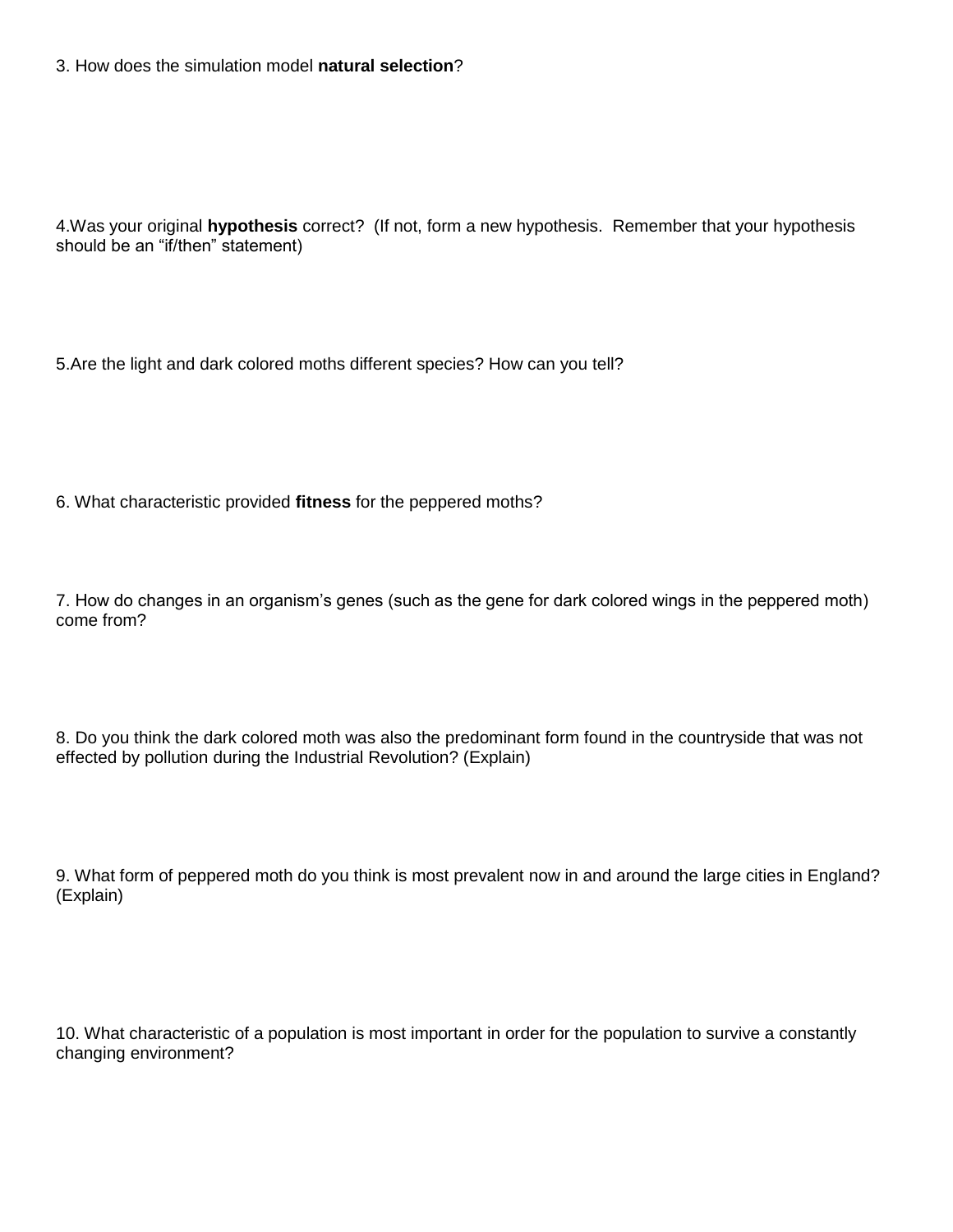3. How does the simulation model **natural selection**?

4.Was your original **hypothesis** correct? (If not, form a new hypothesis. Remember that your hypothesis should be an "if/then" statement)

5.Are the light and dark colored moths different species? How can you tell?

6. What characteristic provided **fitness** for the peppered moths?

7. How do changes in an organism's genes (such as the gene for dark colored wings in the peppered moth) come from?

8. Do you think the dark colored moth was also the predominant form found in the countryside that was not effected by pollution during the Industrial Revolution? (Explain)

9. What form of peppered moth do you think is most prevalent now in and around the large cities in England? (Explain)

10. What characteristic of a population is most important in order for the population to survive a constantly changing environment?